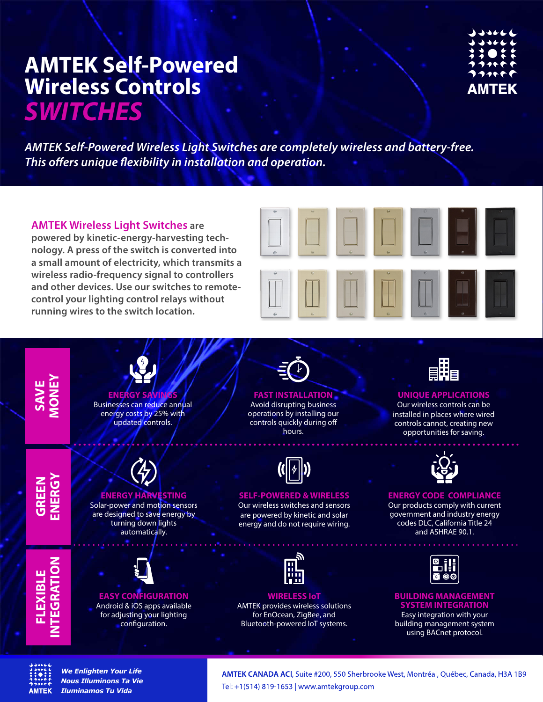*AMTEK Self-Powered Wireless Light Switches are completely wireless and battery-free.*  **This offers unique flexibility in installation and operation.** 

**AMTEK Wireless Light Switches are powered by kinetic-energy-harvesting technology. A press of the switch is converted into a small amount of electricity, which transmits a wireless radio-frequency signal to controllers and other devices. Use our switches to remotecontrol your lighting control relays without running wires to the switch location.**





## **AMTFK**

*We Enlighten Your Life Nous Illuminons Ta Vie Iluminamos Tu Vida*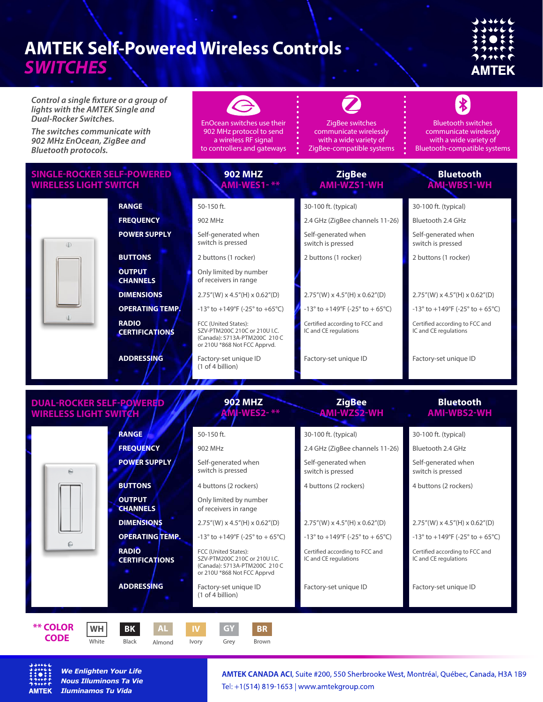# AMTEK

*Control a single fixture or a group of lights with the AMTEK Single and Dual-Rocker Switches.* 

*The switches communicate with 902 MHz EnOcean, ZigBee and Bluetooth protocols.*

EnOcean switches use their 902 MHz protocol to send a wireless RF signal to controllers and gateways

**902 MHZ**

**902 MHZ** *<u>I-WES2-</u>* 

ZigBee switches communicate wirelessly with a wide variety of ZigBee-compatible systems

**ZigBee**

**ZigBee AMI-WZS2-WH**

#### communicate wirelessly with a wide variety of Bluetooth-compatible systems

Bluetooth switches

 $\frac{1}{2}$ 

**Bluetooth**

**Bluetooth AMI-WBS2-WH**

#### **SINGLE-ROCKER SELF-POWERED WIRELESS LIGHT SWITCH**

| <b>IRELESS LIGHT SWITCH</b> |                                       | AMI-WES1-**                                                                                                            | <b>AMI-WZS1-WH</b>                                                   | AMI-WBS1-WH                                                          |
|-----------------------------|---------------------------------------|------------------------------------------------------------------------------------------------------------------------|----------------------------------------------------------------------|----------------------------------------------------------------------|
|                             | <b>RANGE</b>                          | 50-150 ft.                                                                                                             | 30-100 ft. (typical)                                                 | 30-100 ft. (typical)                                                 |
|                             | <b>FREQUENCY</b>                      | 902 MHz                                                                                                                | 2.4 GHz (ZigBee channels 11-26)                                      | Bluetooth 2.4 GHz                                                    |
|                             | <b>POWER SUPPLY</b>                   | Self-generated when<br>switch is pressed                                                                               | Self-generated when<br>switch is pressed                             | Self-generated when<br>switch is pressed                             |
|                             | <b>BUTTONS</b>                        | 2 buttons (1 rocker)                                                                                                   | 2 buttons (1 rocker)                                                 | 2 buttons (1 rocker)                                                 |
|                             | <b>OUTPUT</b><br><b>CHANNELS</b>      | Only limited by number<br>of receivers in range                                                                        |                                                                      |                                                                      |
|                             | <b>DIMENSIONS</b>                     | $2.75''(W) \times 4.5''(H) \times 0.62''(D)$                                                                           | $2.75''(W) \times 4.5''(H) \times 0.62''(D)$                         | $2.75''(W) \times 4.5''(H) \times 0.62''(D)$                         |
|                             | <b>OPERATING TEMP.</b>                | $-13^{\circ}$ to $+149^{\circ}$ F (-25 $^{\circ}$ to $+65^{\circ}$ C)                                                  | $-13^{\circ}$ to $+149^{\circ}F$ (-25 $^{\circ}$ to $+65^{\circ}C$ ) | $-13^{\circ}$ to $+149^{\circ}F$ ( $-25^{\circ}$ to $+65^{\circ}C$ ) |
|                             | <b>RADIO</b><br><b>CERTIFICATIONS</b> | FCC (United States):<br>SZV-PTM200C 210C or 210U I.C.<br>(Canada): 5713A-PTM200C 210 C<br>or 210U *868 Not FCC Apprvd. | Certified according to FCC and<br>IC and CE regulations              | Certified according to FCC and<br>IC and CE regulations              |
|                             | <b>ADDRESSING</b>                     | Factory-set unique ID<br>(1 of 4 billion)                                                                              | Factory-set unique ID                                                | Factory-set unique ID                                                |

### **DUAL-ROCKER SELF-POWERED WIRELESS LIGHT**

|                              | <b>RANGE</b>                          | 50-150 ft.                                                                                                            | 30-100 ft. (typical)                                                  | 30-100 ft. (typical)                                    |
|------------------------------|---------------------------------------|-----------------------------------------------------------------------------------------------------------------------|-----------------------------------------------------------------------|---------------------------------------------------------|
|                              | <b>FREQUENCY</b>                      | 902 MHz                                                                                                               | 2.4 GHz (ZigBee channels 11-26)                                       | Bluetooth 2.4 GHz                                       |
|                              | <b>POWER SUPPLY</b>                   | Self-generated when<br>switch is pressed                                                                              | Self-generated when<br>switch is pressed                              | Self-generated when<br>switch is pressed                |
|                              | <b>BUTTONS</b>                        | 4 buttons (2 rockers)                                                                                                 | 4 buttons (2 rockers)                                                 | 4 buttons (2 rockers)                                   |
|                              | <b>OUTPUT</b><br><b>CHANNELS</b>      | Only limited by number<br>of receivers in range                                                                       |                                                                       |                                                         |
|                              | <b>DIMENSIONS</b>                     | $2.75''(W) \times 4.5''(H) \times 0.62''(D)$                                                                          | $2.75''(W) \times 4.5''(H) \times 0.62''(D)$                          | $2.75''(W) \times 4.5''(H) \times 0.62''(D)$            |
|                              | <b>OPERATING TEMP.</b>                | $-13^{\circ}$ to $+149^{\circ}F$ ( $-25^{\circ}$ to $+65^{\circ}C$ )                                                  | $-13^{\circ}$ to $+149^{\circ}$ F ( $-25^{\circ}$ to $+65^{\circ}$ C) | -13° to +149°F (-25° to +65°C)                          |
|                              | <b>RADIO</b><br><b>CERTIFICATIONS</b> | FCC (United States):<br>SZV-PTM200C 210C or 210U I.C.<br>(Canada): 5713A-PTM200C 210 C<br>or 210U *868 Not FCC Apprvd | Certified according to FCC and<br>IC and CE regulations               | Certified according to FCC and<br>IC and CE regulations |
|                              | <b>ADDRESSING</b>                     | Factory-set unique ID<br>(1 of 4 billion)                                                                             | Factory-set unique ID                                                 | Factory-set unique ID                                   |
| <b>** COLOR</b><br><b>WH</b> | <b>BK</b><br><b>AL</b>                | <b>BR</b><br><b>IV</b><br>GY                                                                                          |                                                                       |                                                         |



 **CODE** 

*We Enlighten Your Life Nous Illuminons Ta Vie Iluminamos Tu Vida*

white Black Almond Ivory Grey Brown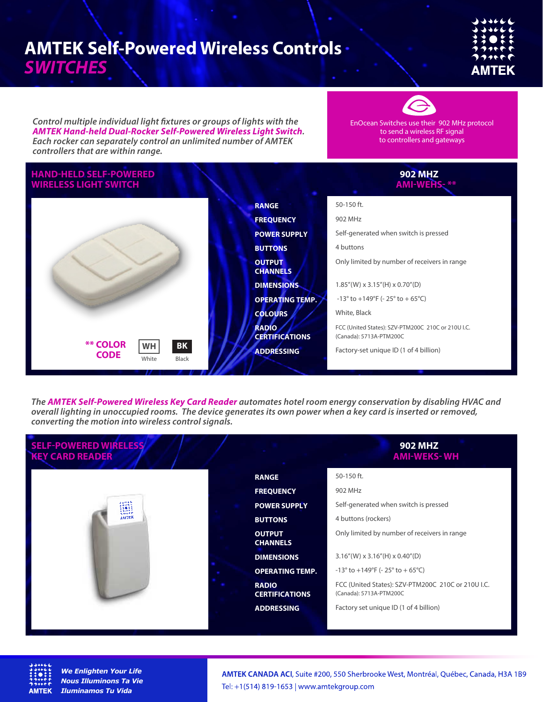Control multiple individual light fixtures or groups of lights with the *AMTEK Hand-held Dual-Rocker Self-Powered Wireless Light Switch. Each rocker can separately control an unlimited number of AMTEK controllers that are within range.*

EnOcean Switches use their 902 MHz protocol to send a wireless RF signal to controllers and gateways

#### **HAND-HELD SELF-POWERED WIRELESS LIGHT SWITCH RANGE FREQUENCY POWER SUPPLY BUTTONS OUTPUT CHANNELS DIMENSIONS OPERATING TEMP. COLOURS RADIO CERTIFICATIONS ADDRESSING** 50-150 ft. 902 MHz Self-generated when switch is pressed 4 buttons Only limited by number of receivers in range 1.85"(W) x 3.15"(H) x 0.70"(D)  $-13^{\circ}$  to  $+149^{\circ}$ F ( $-25^{\circ}$  to  $+65^{\circ}$ C) White, Black FCC (United States): SZV-PTM200C 210C or 210U I.C. (Canada): 5713A-PTM200C Factory-set unique ID (1 of 4 billion) **902 MHZ AMI-WEHS- \*\* \*\* COLOR CODE** White Black **WH BK**

*The AMTEK Self-Powered Wireless Key Card Reader automates hotel room energy conservation by disabling HVAC and overall lighting in unoccupied rooms. The device generates its own power when a key card is inserted or removed, converting the motion into wireless control signals.* 

| <b>SELF-POWERED WIRELESS</b><br><b>KEY CARD READER</b> |                                       | <b>902 MHZ</b><br><b>AMI-WEKS-WH</b>                                          |
|--------------------------------------------------------|---------------------------------------|-------------------------------------------------------------------------------|
|                                                        | <b>RANGE</b>                          | 50-150 ft.                                                                    |
|                                                        | <b>FREQUENCY</b>                      | 902 MHz                                                                       |
| بالمعدى<br><b>Dasses</b><br>Edott<br>.                 | <b>POWER SUPPLY</b>                   | Self-generated when switch is pressed                                         |
| . r r<br><b>AMTEK</b>                                  | <b>BUTTONS</b>                        | 4 buttons (rockers)                                                           |
|                                                        | <b>OUTPUT</b><br><b>CHANNELS</b>      | Only limited by number of receivers in range                                  |
|                                                        | <b>DIMENSIONS</b>                     | $3.16''(W) \times 3.16''(H) \times 0.40''(D)$                                 |
|                                                        | <b>OPERATING TEMP.</b>                | $-13^{\circ}$ to $+149^{\circ}F$ ( $-25^{\circ}$ to $+65^{\circ}C$ )          |
|                                                        | <b>RADIO</b><br><b>CERTIFICATIONS</b> | FCC (United States): SZV-PTM200C 210C or 210U I.C.<br>(Canada): 5713A-PTM200C |
|                                                        | <b>ADDRESSING</b>                     | Factory set unique ID (1 of 4 billion)                                        |



*We Enlighten Your Life Nous Illuminons Ta Vie Iluminamos Tu Vida*